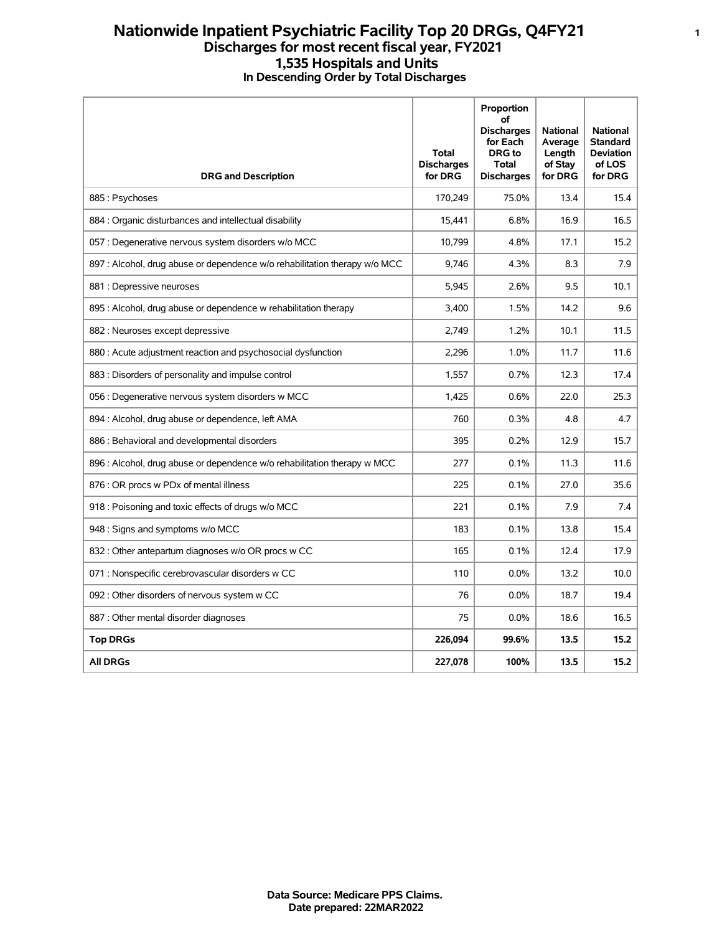## **Nationwide Inpatient Psychiatric Facility Top 20 DRGs, Q4FY21 <sup>1</sup> Discharges for most recent fiscal year, FY2021 1,535 Hospitals and Units In Descending Order by Total Discharges**

| <b>DRG and Description</b>                                                 | <b>Total</b><br><b>Discharges</b><br>for DRG | Proportion<br>οf<br><b>Discharges</b><br>for Each<br><b>DRG</b> to<br><b>Total</b><br><b>Discharges</b> | <b>National</b><br>Average<br>Length<br>of Stay<br>for DRG | <b>National</b><br><b>Standard</b><br><b>Deviation</b><br>of LOS<br>for DRG |
|----------------------------------------------------------------------------|----------------------------------------------|---------------------------------------------------------------------------------------------------------|------------------------------------------------------------|-----------------------------------------------------------------------------|
| 885: Psychoses                                                             | 170,249                                      | 75.0%                                                                                                   | 13.4                                                       | 15.4                                                                        |
| 884 : Organic disturbances and intellectual disability                     | 15,441                                       | 6.8%                                                                                                    | 16.9                                                       | 16.5                                                                        |
| 057 : Degenerative nervous system disorders w/o MCC                        | 10,799                                       | 4.8%                                                                                                    | 17.1                                                       | 15.2                                                                        |
| 897 : Alcohol, drug abuse or dependence w/o rehabilitation therapy w/o MCC | 9.746                                        | 4.3%                                                                                                    | 8.3                                                        | 7.9                                                                         |
| 881 : Depressive neuroses                                                  | 5,945                                        | 2.6%                                                                                                    | 9.5                                                        | 10.1                                                                        |
| 895 : Alcohol, drug abuse or dependence w rehabilitation therapy           | 3,400                                        | 1.5%                                                                                                    | 14.2                                                       | 9.6                                                                         |
| 882 : Neuroses except depressive                                           | 2,749                                        | 1.2%                                                                                                    | 10.1                                                       | 11.5                                                                        |
| 880 : Acute adjustment reaction and psychosocial dysfunction               | 2,296                                        | 1.0%                                                                                                    | 11.7                                                       | 11.6                                                                        |
| 883 : Disorders of personality and impulse control                         | 1,557                                        | 0.7%                                                                                                    | 12.3                                                       | 17.4                                                                        |
| 056 : Degenerative nervous system disorders w MCC                          | 1,425                                        | 0.6%                                                                                                    | 22.0                                                       | 25.3                                                                        |
| 894 : Alcohol, drug abuse or dependence, left AMA                          | 760                                          | 0.3%                                                                                                    | 4.8                                                        | 4.7                                                                         |
| 886 : Behavioral and developmental disorders                               | 395                                          | 0.2%                                                                                                    | 12.9                                                       | 15.7                                                                        |
| 896 : Alcohol, drug abuse or dependence w/o rehabilitation therapy w MCC   | 277                                          | 0.1%                                                                                                    | 11.3                                                       | 11.6                                                                        |
| 876 : OR procs w PDx of mental illness                                     | 225                                          | 0.1%                                                                                                    | 27.0                                                       | 35.6                                                                        |
| 918 : Poisoning and toxic effects of drugs w/o MCC                         | 221                                          | 0.1%                                                                                                    | 7.9                                                        | 7.4                                                                         |
| 948 : Signs and symptoms w/o MCC                                           | 183                                          | 0.1%                                                                                                    | 13.8                                                       | 15.4                                                                        |
| 832 : Other antepartum diagnoses w/o OR procs w CC                         | 165                                          | 0.1%                                                                                                    | 12.4                                                       | 17.9                                                                        |
| 071 : Nonspecific cerebrovascular disorders w CC                           | 110                                          | 0.0%                                                                                                    | 13.2                                                       | 10.0                                                                        |
| 092 : Other disorders of nervous system w CC                               | 76                                           | 0.0%                                                                                                    | 18.7                                                       | 19.4                                                                        |
| 887 : Other mental disorder diagnoses                                      | 75                                           | 0.0%                                                                                                    | 18.6                                                       | 16.5                                                                        |
| <b>Top DRGs</b>                                                            | 226,094                                      | 99.6%                                                                                                   | 13.5                                                       | 15.2                                                                        |
| <b>All DRGs</b>                                                            | 227,078                                      | 100%                                                                                                    | 13.5                                                       | 15.2                                                                        |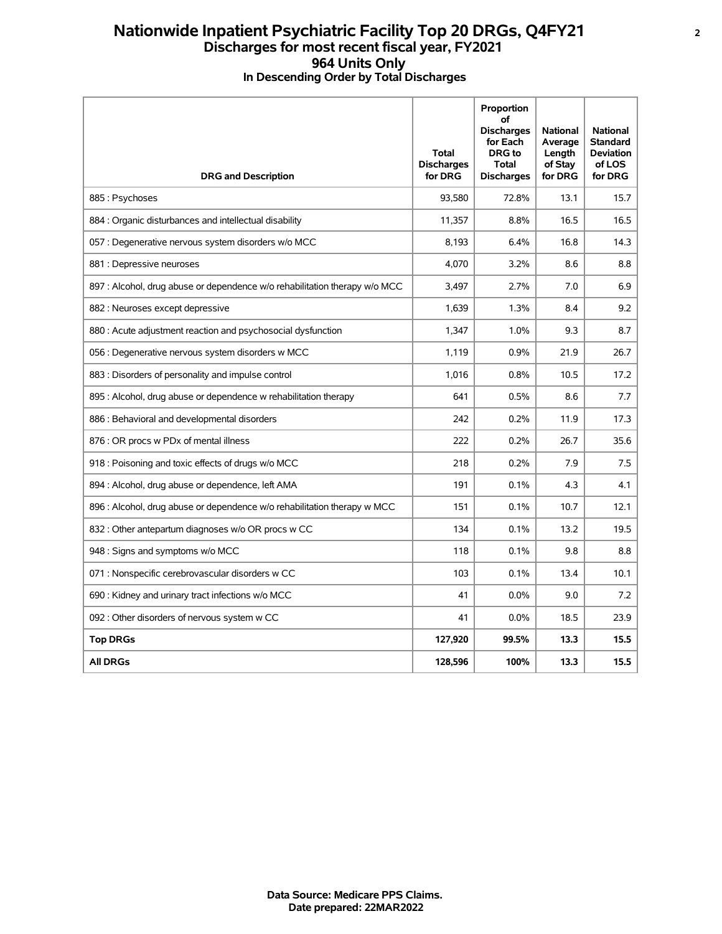## **Nationwide Inpatient Psychiatric Facility Top 20 DRGs, Q4FY21 <sup>2</sup> Discharges for most recent fiscal year, FY2021 964 Units Only In Descending Order by Total Discharges**

| <b>DRG and Description</b>                                                 | <b>Total</b><br><b>Discharges</b><br>for DRG | Proportion<br>οf<br><b>Discharges</b><br>for Each<br><b>DRG</b> to<br><b>Total</b><br><b>Discharges</b> | <b>National</b><br>Average<br>Length<br>of Stay<br>for DRG | <b>National</b><br><b>Standard</b><br><b>Deviation</b><br>of LOS<br>for DRG |
|----------------------------------------------------------------------------|----------------------------------------------|---------------------------------------------------------------------------------------------------------|------------------------------------------------------------|-----------------------------------------------------------------------------|
| 885: Psychoses                                                             | 93,580                                       | 72.8%                                                                                                   | 13.1                                                       | 15.7                                                                        |
| 884 : Organic disturbances and intellectual disability                     | 11,357                                       | 8.8%                                                                                                    | 16.5                                                       | 16.5                                                                        |
| 057 : Degenerative nervous system disorders w/o MCC                        | 8,193                                        | 6.4%                                                                                                    | 16.8                                                       | 14.3                                                                        |
| 881 : Depressive neuroses                                                  | 4,070                                        | 3.2%                                                                                                    | 8.6                                                        | 8.8                                                                         |
| 897 : Alcohol, drug abuse or dependence w/o rehabilitation therapy w/o MCC | 3,497                                        | 2.7%                                                                                                    | 7.0                                                        | 6.9                                                                         |
| 882 : Neuroses except depressive                                           | 1,639                                        | 1.3%                                                                                                    | 8.4                                                        | 9.2                                                                         |
| 880 : Acute adjustment reaction and psychosocial dysfunction               | 1,347                                        | 1.0%                                                                                                    | 9.3                                                        | 8.7                                                                         |
| 056 : Degenerative nervous system disorders w MCC                          | 1,119                                        | 0.9%                                                                                                    | 21.9                                                       | 26.7                                                                        |
| 883 : Disorders of personality and impulse control                         | 1.016                                        | 0.8%                                                                                                    | 10.5                                                       | 17.2                                                                        |
| 895 : Alcohol, drug abuse or dependence w rehabilitation therapy           | 641                                          | 0.5%                                                                                                    | 8.6                                                        | 7.7                                                                         |
| 886 : Behavioral and developmental disorders                               | 242                                          | 0.2%                                                                                                    | 11.9                                                       | 17.3                                                                        |
| 876 : OR procs w PDx of mental illness                                     | 222                                          | 0.2%                                                                                                    | 26.7                                                       | 35.6                                                                        |
| 918 : Poisoning and toxic effects of drugs w/o MCC                         | 218                                          | 0.2%                                                                                                    | 7.9                                                        | 7.5                                                                         |
| 894 : Alcohol, drug abuse or dependence, left AMA                          | 191                                          | 0.1%                                                                                                    | 4.3                                                        | 4.1                                                                         |
| 896 : Alcohol, drug abuse or dependence w/o rehabilitation therapy w MCC   | 151                                          | 0.1%                                                                                                    | 10.7                                                       | 12.1                                                                        |
| 832 : Other antepartum diagnoses w/o OR procs w CC                         | 134                                          | 0.1%                                                                                                    | 13.2                                                       | 19.5                                                                        |
| 948 : Signs and symptoms w/o MCC                                           | 118                                          | 0.1%                                                                                                    | 9.8                                                        | 8.8                                                                         |
| 071 : Nonspecific cerebrovascular disorders w CC                           | 103                                          | 0.1%                                                                                                    | 13.4                                                       | 10.1                                                                        |
| 690 : Kidney and urinary tract infections w/o MCC                          | 41                                           | $0.0\%$                                                                                                 | 9.0                                                        | 7.2                                                                         |
| 092 : Other disorders of nervous system w CC                               | 41                                           | 0.0%                                                                                                    | 18.5                                                       | 23.9                                                                        |
| <b>Top DRGs</b>                                                            | 127,920                                      | 99.5%                                                                                                   | 13.3                                                       | 15.5                                                                        |
| <b>All DRGs</b>                                                            | 128,596                                      | 100%                                                                                                    | 13.3                                                       | 15.5                                                                        |